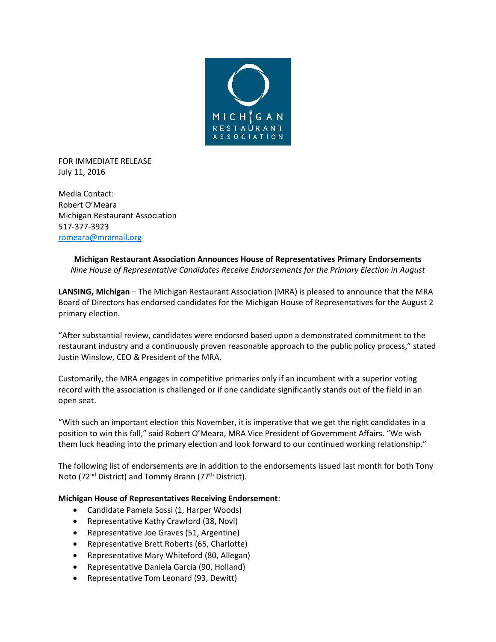

FOR IMMEDIATE RELEASE July 11, 2016

Media Contact: Robert O'Meara Michigan Restaurant Association 517-377-3923 [romeara@mramail.org](mailto:romeara@mramail.org)

## **Michigan Restaurant Association Announces House of Representatives Primary Endorsements** *Nine House of Representative Candidates Receive Endorsements for the Primary Election in August*

**LANSING, Michigan** – The Michigan Restaurant Association (MRA) is pleased to announce that the MRA Board of Directors has endorsed candidates for the Michigan House of Representatives for the August 2 primary election.

"After substantial review, candidates were endorsed based upon a demonstrated commitment to the restaurant industry and a continuously proven reasonable approach to the public policy process," stated Justin Winslow, CEO & President of the MRA.

Customarily, the MRA engages in competitive primaries only if an incumbent with a superior voting record with the association is challenged or if one candidate significantly stands out of the field in an open seat.

"With such an important election this November, it is imperative that we get the right candidates in a position to win this fall," said Robert O'Meara, MRA Vice President of Government Affairs. "We wish them luck heading into the primary election and look forward to our continued working relationship."

The following list of endorsements are in addition to the endorsements issued last month for both Tony Noto (72<sup>nd</sup> District) and Tommy Brann (77<sup>th</sup> District).

## **Michigan House of Representatives Receiving Endorsement**:

- Candidate Pamela Sossi (1, Harper Woods)
- Representative Kathy Crawford (38, Novi)
- Representative Joe Graves (51, Argentine)
- Representative Brett Roberts (65, Charlotte)
- Representative Mary Whiteford (80, Allegan)
- Representative Daniela Garcia (90, Holland)
- Representative Tom Leonard (93, Dewitt)